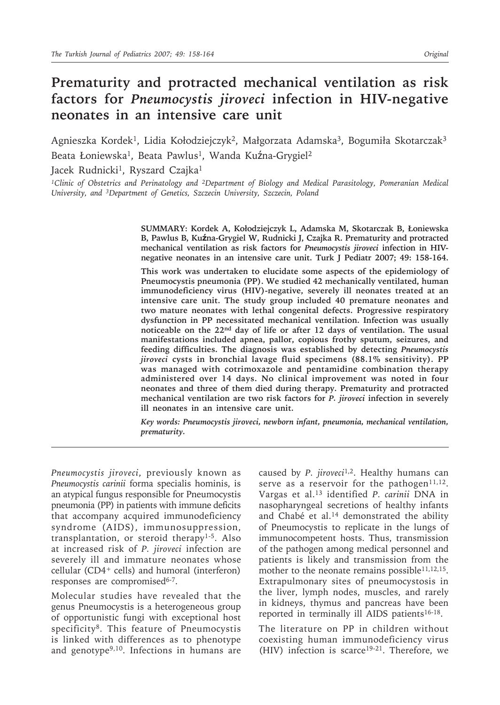# **Prematurity and protracted mechanical ventilation as risk factors for** *Pneumocystis jiroveci* **infection in HIV-negative neonates in an intensive care unit**

Agnieszka Kordek<sup>1</sup>, Lidia Kołodziejczyk<sup>2</sup>, Małgorzata Adamska<sup>3</sup>, Bogumiła Skotarczak<sup>3</sup> Beata Łoniewska<sup>1</sup>, Beata Pawlus<sup>1</sup>, Wanda Kuźna-Grygiel<sup>2</sup>

Jacek Rudnicki<sup>1</sup>, Ryszard Czajka<sup>1</sup>

*1Clinic of Obstetrics and Perinatology and 2Department of Biology and Medical Parasitology, Pomeranian Medical University, and 3Department of Genetics, Szczecin University, Szczecin, Poland*

> **SUMMARY: Kordek A, Kołodziejczyk L, Adamska M, Skotarczak B, Łoniewska B, Pawlus B, Kuźna-Grygiel W, Rudnicki J, Czajka R. Prematurity and protracted mechanical ventilation as risk factors for** *Pneumocystis jiroveci* **infection in HIVnegative neonates in an intensive care unit. Turk J Pediatr 2007; 49: 158-164.**

> **This work was undertaken to elucidate some aspects of the epidemiology of Pneumocystis pneumonia (PP). We studied 42 mechanically ventilated, human immunodeficiency virus (HIV)-negative, severely ill neonates treated at an intensive care unit. The study group included 40 premature neonates and two mature neonates with lethal congenital defects. Progressive respiratory dysfunction in PP necessitated mechanical ventilation. Infection was usually noticeable on the 22nd day of life or after 12 days of ventilation. The usual manifestations included apnea, pallor, copious frothy sputum, seizures, and feeding difficulties. The diagnosis was established by detecting** *Pneumocystis jiroveci* **cysts in bronchial lavage fluid specimens (88.1% sensitivity). PP was managed with cotrimoxazole and pentamidine combination therapy administered over 14 days. No clinical improvement was noted in four neonates and three of them died during therapy. Prematurity and protracted mechanical ventilation are two risk factors for** *P. jiroveci* **infection in severely ill neonates in an intensive care unit.**

> *Key words: Pneumocystis jiroveci, newborn infant, pneumonia, mechanical ventilation, prematurity.*

*Pneumocystis jiroveci*, previously known as *Pneumocystis carinii* forma specialis hominis, is an atypical fungus responsible for Pneumocystis pneumonia (PP) in patients with immune deficits that accompany acquired immunodeficiency syndrome (AIDS), immunosuppression, transplantation, or steroid therapy1-5. Also at increased risk of *P. jiroveci* infection are severely ill and immature neonates whose cellular (CD4+ cells) and humoral (interferon) responses are compromised<sup>6-7</sup>.

Molecular studies have revealed that the genus Pneumocystis is a heterogeneous group of opportunistic fungi with exceptional host specificity<sup>8</sup>. This feature of Pneumocystis is linked with differences as to phenotype and genotype<sup>9,10</sup>. Infections in humans are

caused by *P. jiroveci*1,2. Healthy humans can serve as a reservoir for the pathogen<sup>11,12</sup>. Vargas et al.13 identified *P. carinii* DNA in nasopharyngeal secretions of healthy infants and Chabé et al.<sup>14</sup> demonstrated the ability of Pneumocystis to replicate in the lungs of immunocompetent hosts. Thus, transmission of the pathogen among medical personnel and patients is likely and transmission from the mother to the neonate remains possible<sup>11,12,15</sup>. Extrapulmonary sites of pneumocystosis in the liver, lymph nodes, muscles, and rarely in kidneys, thymus and pancreas have been reported in terminally ill AIDS patients<sup>16-18</sup>.

The literature on PP in children without coexisting human immunodeficiency virus (HIV) infection is scarce<sup>19-21</sup>. Therefore, we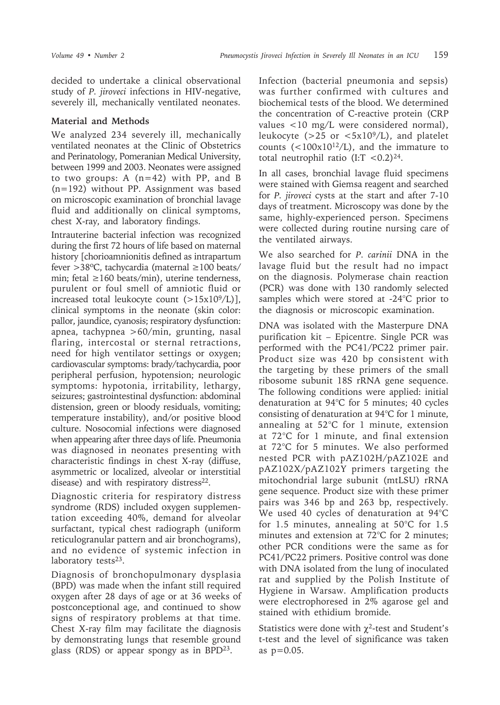decided to undertake a clinical observational study of *P. jiroveci* infections in HIV-negative, severely ill, mechanically ventilated neonates.

## **Material and Methods**

We analyzed 234 severely ill, mechanically ventilated neonates at the Clinic of Obstetrics and Perinatology, Pomeranian Medical University, between 1999 and 2003. Neonates were assigned to two groups: A  $(n=42)$  with PP, and B (n=192) without PP. Assignment was based on microscopic examination of bronchial lavage fluid and additionally on clinical symptoms, chest X-ray, and laboratory findings.

Intrauterine bacterial infection was recognized during the first 72 hours of life based on maternal history [chorioamnionitis defined as intrapartum fever >38ºC, tachycardia (maternal ≥100 beats/ min; fetal ≥160 beats/min), uterine tenderness, purulent or foul smell of amniotic fluid or increased total leukocyte count  $(>15x10<sup>9</sup>/L)$ ], clinical symptoms in the neonate (skin color: pallor, jaundice, cyanosis; respiratory dysfunction: apnea, tachypnea >60/min, grunting, nasal flaring, intercostal or sternal retractions, need for high ventilator settings or oxygen; cardiovascular symptoms: brady/tachycardia, poor peripheral perfusion, hypotension; neurologic symptoms: hypotonia, irritability, lethargy, seizures; gastrointestinal dysfunction: abdominal distension, green or bloody residuals, vomiting; temperature instability), and/or positive blood culture. Nosocomial infections were diagnosed when appearing after three days of life. Pneumonia was diagnosed in neonates presenting with characteristic findings in chest X-ray (diffuse, asymmetric or localized, alveolar or interstitial disease) and with respiratory distress $22$ .

Diagnostic criteria for respiratory distress syndrome (RDS) included oxygen supplementation exceeding 40%, demand for alveolar surfactant, typical chest radiograph (uniform reticulogranular pattern and air bronchograms), and no evidence of systemic infection in laboratory tests<sup>23</sup>.

Diagnosis of bronchopulmonary dysplasia (BPD) was made when the infant still required oxygen after 28 days of age or at 36 weeks of postconceptional age, and continued to show signs of respiratory problems at that time. Chest X-ray film may facilitate the diagnosis by demonstrating lungs that resemble ground glass (RDS) or appear spongy as in  $BPD^{23}$ .

Infection (bacterial pneumonia and sepsis) was further confirmed with cultures and biochemical tests of the blood. We determined the concentration of C-reactive protein (CRP values <10 mg/L were considered normal), leukocyte ( $>$ 25 or  $<$ 5x10<sup>9</sup>/L), and platelet counts (<100x1012/L), and the immature to total neutrophil ratio (I:T <0.2) $^{24}$ .

In all cases, bronchial lavage fluid specimens were stained with Giemsa reagent and searched for *P. jiroveci* cysts at the start and after 7-10 days of treatment. Microscopy was done by the same, highly-experienced person. Specimens were collected during routine nursing care of the ventilated airways.

We also searched for *P. carinii* DNA in the lavage fluid but the result had no impact on the diagnosis. Polymerase chain reaction (PCR) was done with 130 randomly selected samples which were stored at -24°C prior to the diagnosis or microscopic examination.

DNA was isolated with the Masterpure DNA purification kit – Epicentre. Single PCR was performed with the PC41/PC22 primer pair. Product size was 420 bp consistent with the targeting by these primers of the small ribosome subunit 18S rRNA gene sequence. The following conditions were applied: initial denaturation at 94°C for 5 minutes; 40 cycles consisting of denaturation at 94°C for 1 minute, annealing at 52°C for 1 minute, extension at 72°C for 1 minute, and final extension at 72°C for 5 minutes. We also performed nested PCR with pAZ102H/pAZ102E and pAZ102X/pAZ102Y primers targeting the mitochondrial large subunit (mtLSU) rRNA gene sequence. Product size with these primer pairs was 346 bp and 263 bp, respectively. We used 40 cycles of denaturation at 94°C for 1.5 minutes, annealing at 50°C for 1.5 minutes and extension at 72°C for 2 minutes; other PCR conditions were the same as for PC41/PC22 primers. Positive control was done with DNA isolated from the lung of inoculated rat and supplied by the Polish Institute of Hygiene in Warsaw. Amplification products were electrophoresed in 2% agarose gel and stained with ethidium bromide.

Statistics were done with  $\chi^2$ -test and Student's t-test and the level of significance was taken as p=0.05.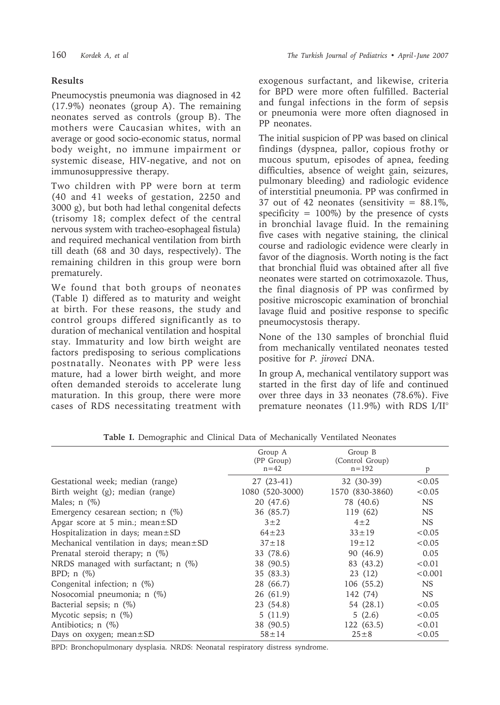## **Results**

Pneumocystis pneumonia was diagnosed in 42 (17.9%) neonates (group A). The remaining neonates served as controls (group B). The mothers were Caucasian whites, with an average or good socio-economic status, normal body weight, no immune impairment or systemic disease, HIV-negative, and not on immunosuppressive therapy.

Two children with PP were born at term (40 and 41 weeks of gestation, 2250 and 3000 g), but both had lethal congenital defects (trisomy 18; complex defect of the central nervous system with tracheo-esophageal fistula) and required mechanical ventilation from birth till death (68 and 30 days, respectively). The remaining children in this group were born prematurely.

We found that both groups of neonates (Table I) differed as to maturity and weight at birth. For these reasons, the study and control groups differed significantly as to duration of mechanical ventilation and hospital stay. Immaturity and low birth weight are factors predisposing to serious complications postnatally. Neonates with PP were less mature, had a lower birth weight, and more often demanded steroids to accelerate lung maturation. In this group, there were more cases of RDS necessitating treatment with exogenous surfactant, and likewise, criteria for BPD were more often fulfilled. Bacterial and fungal infections in the form of sepsis or pneumonia were more often diagnosed in PP neonates.

The initial suspicion of PP was based on clinical findings (dyspnea, pallor, copious frothy or mucous sputum, episodes of apnea, feeding difficulties, absence of weight gain, seizures, pulmonary bleeding) and radiologic evidence of interstitial pneumonia. PP was confirmed in 37 out of 42 neonates (sensitivity  $= 88.1\%$ , specificity  $= 100\%$ ) by the presence of cysts in bronchial lavage fluid. In the remaining five cases with negative staining, the clinical course and radiologic evidence were clearly in favor of the diagnosis. Worth noting is the fact that bronchial fluid was obtained after all five neonates were started on cotrimoxazole. Thus, the final diagnosis of PP was confirmed by positive microscopic examination of bronchial lavage fluid and positive response to specific pneumocystosis therapy.

None of the 130 samples of bronchial fluid from mechanically ventilated neonates tested positive for *P. jiroveci* DNA.

In group A, mechanical ventilatory support was started in the first day of life and continued over three days in 33 neonates (78.6%). Five premature neonates (11.9%) with RDS I/II°

| Group A<br>(PP Group)<br>$n=42$ | Group B<br>(Control Group)<br>$n = 192$ | P         |
|---------------------------------|-----------------------------------------|-----------|
| $27(23-41)$                     | 32 (30-39)                              | < 0.05    |
| 1080 (520-3000)                 | 1570 (830-3860)                         | < 0.05    |
| 20 (47.6)                       | 78 (40.6)                               | <b>NS</b> |
| 36 (85.7)                       | 119 (62)                                | <b>NS</b> |
| $3\pm2$                         | $4\pm 2$                                | NS.       |
| $64 \pm 23$                     | $33 \pm 19$                             | < 0.05    |
| $37 \pm 18$                     | $19 \pm 12$                             | < 0.05    |
| 33 (78.6)                       | 90 (46.9)                               | 0.05      |
| 38 (90.5)                       | 83 (43.2)                               | < 0.01    |
| 35 (83.3)                       | 23(12)                                  | < 0.001   |
| 28 (66.7)                       | 106 (55.2)                              | NS.       |
| 26 (61.9)                       | 142 (74)                                | NS.       |
| 23 (54.8)                       | 54 (28.1)                               | < 0.05    |
| 5(11.9)                         | 5(2.6)                                  | < 0.05    |
| 38 (90.5)                       | 122(63.5)                               | < 0.01    |
| $58 + 14$                       | $25 \pm 8$                              | < 0.05    |
|                                 |                                         |           |

**Table I.** Demographic and Clinical Data of Mechanically Ventilated Neonates

BPD: Bronchopulmonary dysplasia. NRDS: Neonatal respiratory distress syndrome.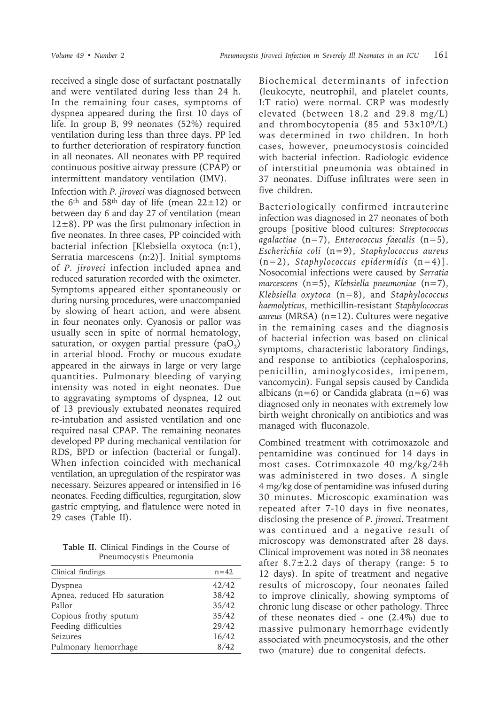received a single dose of surfactant postnatally and were ventilated during less than 24 h. In the remaining four cases, symptoms of dyspnea appeared during the first 10 days of life. In group B, 99 neonates (52%) required ventilation during less than three days. PP led to further deterioration of respiratory function in all neonates. All neonates with PP required continuous positive airway pressure (CPAP) or intermittent mandatory ventilation (IMV).

Infection with *P. jiroveci* was diagnosed between the 6<sup>th</sup> and 58<sup>th</sup> day of life (mean  $22 \pm 12$ ) or between day 6 and day 27 of ventilation (mean  $12\pm8$ ). PP was the first pulmonary infection in five neonates. In three cases, PP coincided with bacterial infection [Klebsiella oxytoca (n:1), Serratia marcescens (n:2)]. Initial symptoms of *P. jiroveci* infection included apnea and reduced saturation recorded with the oximeter. Symptoms appeared either spontaneously or during nursing procedures, were unaccompanied by slowing of heart action, and were absent in four neonates only. Cyanosis or pallor was usually seen in spite of normal hematology, saturation, or oxygen partial pressure  $(paO<sub>2</sub>)$ in arterial blood. Frothy or mucous exudate appeared in the airways in large or very large quantities. Pulmonary bleeding of varying intensity was noted in eight neonates. Due to aggravating symptoms of dyspnea, 12 out of 13 previously extubated neonates required re-intubation and assisted ventilation and one required nasal CPAP. The remaining neonates developed PP during mechanical ventilation for RDS, BPD or infection (bacterial or fungal). When infection coincided with mechanical ventilation, an upregulation of the respirator was necessary. Seizures appeared or intensified in 16 neonates. Feeding difficulties, regurgitation, slow gastric emptying, and flatulence were noted in 29 cases (Table II).

**Table II.** Clinical Findings in the Course of Pneumocystis Pneumonia

| Clinical findings            | $n = 42$ |
|------------------------------|----------|
| Dyspnea                      | 42/42    |
| Apnea, reduced Hb saturation | 38/42    |
| Pallor                       | 35/42    |
| Copious frothy sputum        | 35/42    |
| Feeding difficulties         | 29/42    |
| Seizures                     | 16/42    |
| Pulmonary hemorrhage         | 8/42     |

Biochemical determinants of infection (leukocyte, neutrophil, and platelet counts, I:T ratio) were normal. CRP was modestly elevated (between 18.2 and 29.8 mg/L) and thrombocytopenia (85 and  $53x10^9/L$ ) was determined in two children. In both cases, however, pneumocystosis coincided with bacterial infection. Radiologic evidence of interstitial pneumonia was obtained in 37 neonates. Diffuse infiltrates were seen in five children.

Bacteriologically confirmed intrauterine infection was diagnosed in 27 neonates of both groups [positive blood cultures: *Streptococcus agalactiae* (n=7), *Enterococcus faecalis* (n=5), *Escherichia coli* (n=9), *Staphylococcus aureus* (n=2), *Staphylococcus epidermidis* (n=4)]. Nosocomial infections were caused by *Serratia marcescens* (n=5), *Klebsiella pneumoniae* (n=7), *Klebsiella oxytoca* (n=8), and *Staphylococcus haemolyticus*, methicillin-resistant *Staphylococcus aureus* (MRSA) (n=12). Cultures were negative in the remaining cases and the diagnosis of bacterial infection was based on clinical symptoms, characteristic laboratory findings, and response to antibiotics (cephalosporins, penicillin, aminoglycosides, imipenem, vancomycin). Fungal sepsis caused by Candida albicans ( $n=6$ ) or Candida glabrata ( $n=6$ ) was diagnosed only in neonates with extremely low birth weight chronically on antibiotics and was managed with fluconazole.

Combined treatment with cotrimoxazole and pentamidine was continued for 14 days in most cases. Cotrimoxazole 40 mg/kg/24h was administered in two doses. A single 4 mg/kg dose of pentamidine was infused during 30 minutes. Microscopic examination was repeated after 7-10 days in five neonates, disclosing the presence of *P. jiroveci*. Treatment was continued and a negative result of microscopy was demonstrated after 28 days. Clinical improvement was noted in 38 neonates after  $8.7 \pm 2.2$  days of therapy (range: 5 to 12 days). In spite of treatment and negative results of microscopy, four neonates failed to improve clinically, showing symptoms of chronic lung disease or other pathology. Three of these neonates died - one (2.4%) due to massive pulmonary hemorrhage evidently associated with pneumocystosis, and the other two (mature) due to congenital defects.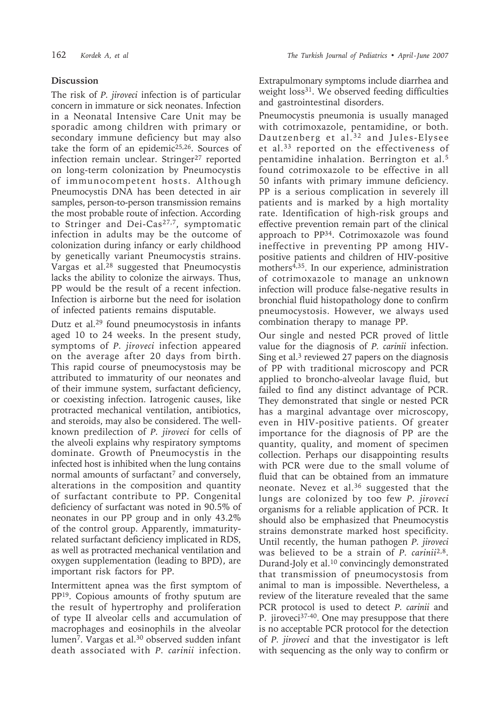#### **Discussion**

The risk of *P. jiroveci* infection is of particular concern in immature or sick neonates. Infection in a Neonatal Intensive Care Unit may be sporadic among children with primary or secondary immune deficiency but may also take the form of an epidemic<sup>25,26</sup>. Sources of infection remain unclear. Stringer<sup>27</sup> reported on long-term colonization by Pneumocystis of immunocompetent hosts. Although Pneumocystis DNA has been detected in air samples, person-to-person transmission remains the most probable route of infection. According to Stringer and Dei-Cas<sup>27,7</sup>, symptomatic infection in adults may be the outcome of colonization during infancy or early childhood by genetically variant Pneumocystis strains. Vargas et al.28 suggested that Pneumocystis lacks the ability to colonize the airways. Thus, PP would be the result of a recent infection. Infection is airborne but the need for isolation of infected patients remains disputable.

Dutz et al.29 found pneumocystosis in infants aged 10 to 24 weeks. In the present study, symptoms of *P. jiroveci* infection appeared on the average after 20 days from birth. This rapid course of pneumocystosis may be attributed to immaturity of our neonates and of their immune system, surfactant deficiency, or coexisting infection. Iatrogenic causes, like protracted mechanical ventilation, antibiotics, and steroids, may also be considered. The wellknown predilection of *P. jiroveci* for cells of the alveoli explains why respiratory symptoms dominate. Growth of Pneumocystis in the infected host is inhibited when the lung contains normal amounts of surfactant<sup>7</sup> and conversely, alterations in the composition and quantity of surfactant contribute to PP. Congenital deficiency of surfactant was noted in 90.5% of neonates in our PP group and in only 43.2% of the control group. Apparently, immaturityrelated surfactant deficiency implicated in RDS, as well as protracted mechanical ventilation and oxygen supplementation (leading to BPD), are important risk factors for PP.

Intermittent apnea was the first symptom of PP19. Copious amounts of frothy sputum are the result of hypertrophy and proliferation of type II alveolar cells and accumulation of macrophages and eosinophils in the alveolar lumen7. Vargas et al.30 observed sudden infant death associated with *P. carinii* infection.

Extrapulmonary symptoms include diarrhea and weight loss<sup>31</sup>. We observed feeding difficulties and gastrointestinal disorders.

Pneumocystis pneumonia is usually managed with cotrimoxazole, pentamidine, or both. Dautzenberg et al.<sup>32</sup> and Jules-Elysee et al.33 reported on the effectiveness of pentamidine inhalation. Berrington et al.5 found cotrimoxazole to be effective in all 50 infants with primary immune deficiency. PP is a serious complication in severely ill patients and is marked by a high mortality rate. Identification of high-risk groups and effective prevention remain part of the clinical approach to PP34. Cotrimoxazole was found ineffective in preventing PP among HIVpositive patients and children of HIV-positive mothers4,35. In our experience, administration of cotrimoxazole to manage an unknown infection will produce false-negative results in bronchial fluid histopathology done to confirm pneumocystosis. However, we always used combination therapy to manage PP.

Our single and nested PCR proved of little value for the diagnosis of *P. carinii* infection. Sing et al. $3$  reviewed 27 papers on the diagnosis of PP with traditional microscopy and PCR applied to broncho-alveolar lavage fluid, but failed to find any distinct advantage of PCR. They demonstrated that single or nested PCR has a marginal advantage over microscopy, even in HIV-positive patients. Of greater importance for the diagnosis of PP are the quantity, quality, and moment of specimen collection. Perhaps our disappointing results with PCR were due to the small volume of fluid that can be obtained from an immature neonate. Nevez et al.36 suggested that the lungs are colonized by too few *P. jiroveci* organisms for a reliable application of PCR. It should also be emphasized that Pneumocystis strains demonstrate marked host specificity. Until recently, the human pathogen *P. jiroveci* was believed to be a strain of *P. carinii*2,8. Durand-Joly et al.10 convincingly demonstrated that transmission of pneumocystosis from animal to man is impossible. Nevertheless, a review of the literature revealed that the same PCR protocol is used to detect *P. carinii* and P. jiroveci<sup>37-40</sup>. One may presuppose that there is no acceptable PCR protocol for the detection of *P. jiroveci* and that the investigator is left with sequencing as the only way to confirm or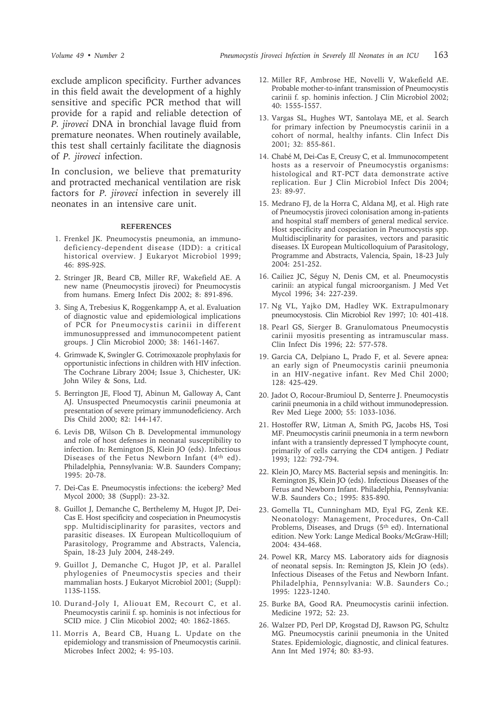exclude amplicon specificity. Further advances in this field await the development of a highly sensitive and specific PCR method that will provide for a rapid and reliable detection of *P. jiroveci* DNA in bronchial lavage fluid from premature neonates. When routinely available, this test shall certainly facilitate the diagnosis of *P. jiroveci* infection.

In conclusion, we believe that prematurity and protracted mechanical ventilation are risk factors for *P. jiroveci* infection in severely ill neonates in an intensive care unit.

#### **REFERENCES**

- 1. Frenkel JK. Pneumocystis pneumonia, an immunodeficiency-dependent disease (IDD): a critical historical overview. J Eukaryot Microbiol 1999; 46: 89S-92S.
- 2. Stringer JR, Beard CB, Miller RF, Wakefield AE. A new name (Pneumocystis jiroveci) for Pneumocystis from humans. Emerg Infect Dis 2002; 8: 891-896.
- 3. Sing A, Trebesius K, Roggenkampp A, et al. Evaluation of diagnostic value and epidemiological implications of PCR for Pneumocystis carinii in different immunosuppressed and immunocompetent patient groups. J Clin Microbiol 2000; 38: 1461-1467.
- 4. Grimwade K, Swingler G. Cotrimoxazole prophylaxis for opportunistic infections in children with HIV infection. The Cochrane Library 2004; Issue 3, Chichester, UK: John Wiley & Sons, Ltd.
- 5. Berrington JE, Flood TJ, Abinun M, Galloway A, Cant AJ. Unsuspected Pneumocystis carinii pneumonia at presentation of severe primary immunodeficiency. Arch Dis Child 2000; 82: 144-147.
- 6. Levis DB, Wilson Ch B. Developmental immunology and role of host defenses in neonatal susceptibility to infection. In: Remington JS, Klein JO (eds). Infectious Diseases of the Fetus Newborn Infant (4th ed). Philadelphia, Pennsylvania: W.B. Saunders Company; 1995: 20-78.
- 7. Dei-Cas E. Pneumocystis infections: the iceberg? Med Mycol 2000; 38 (Suppl): 23-32.
- 8. Guillot J, Demanche C, Berthelemy M, Hugot JP, Dei-Cas E. Host specificity and cospeciation in Pneumocystis spp. Multidisciplinarity for parasites, vectors and parasitic diseases. IX European Multicolloquium of Parasitology, Programme and Abstracts, Valencia, Spain, 18-23 July 2004, 248-249.
- 9. Guillot J, Demanche C, Hugot JP, et al. Parallel phylogenies of Pneumocystis species and their mammalian hosts. J Eukaryot Microbiol 2001; (Suppl): 113S-115S.
- 10. Durand-Joly I, Aliouat EM, Recourt C, et al. Pneumocystis carinii f. sp. hominis is not infectious for SCID mice. J Clin Micobiol 2002; 40: 1862-1865.
- 11. Morris A, Beard CB, Huang L. Update on the epidemiology and transmission of Pneumocystis carinii. Microbes Infect 2002; 4: 95-103.
- 12. Miller RF, Ambrose HE, Novelli V, Wakefield AE. Probable mother-to-infant transmission of Pneumocystis carinii f. sp. hominis infection. J Clin Microbiol 2002; 40: 1555-1557.
- 13. Vargas SL, Hughes WT, Santolaya ME, et al. Search for primary infection by Pneumocystis carinii in a cohort of normal, healthy infants. Clin Infect Dis 2001; 32: 855-861.
- 14. Chabé M, Dei-Cas E, Creusy C, et al. Immunocompetent hosts as a reservoir of Pneumocystis organisms: histological and RT-PCT data demonstrate active replication. Eur J Clin Microbiol Infect Dis 2004; 23: 89-97.
- 15. Medrano FJ, de la Horra C, Aldana MJ, et al. High rate of Pneumocystis jiroveci colonisation among in-patients and hospital staff members of general medical service. Host specificity and cospeciation in Pneumocystis spp. Multidisciplinarity for parasites, vectors and parasitic diseases. IX European Multicolloquium of Parasitology, Programme and Abstracts, Valencia, Spain, 18-23 July 2004: 251-252.
- 16. Cailiez JC, Séguy N, Denis CM, et al. Pneumocystis carinii: an atypical fungal microorganism. J Med Vet Mycol 1996; 34: 227-239.
- 17. Ng VL, Yajko DM, Hadley WK. Extrapulmonary pneumocystosis. Clin Microbiol Rev 1997; 10: 401-418.
- 18. Pearl GS, Sierger B. Granulomatous Pneumocystis carinii myositis presenting as intramuscular mass. Clin Infect Dis 1996; 22: 577-578.
- 19. Garcia CA, Delpiano L, Prado F, et al. Severe apnea: an early sign of Pneumocystis carinii pneumonia in an HIV-negative infant. Rev Med Chil 2000; 128: 425-429.
- 20. Jadot O, Rocour-Brumioul D, Senterre J. Pneumocystis carinii pneumonia in a child without immunodepression. Rev Med Liege 2000; 55: 1033-1036.
- 21. Hostoffer RW, Litman A, Smith PG, Jacobs HS, Tosi MF. Pneumocystis carinii pneumonia in a term newborn infant with a transiently depressed T lymphocyte count, primarily of cells carrying the CD4 antigen. J Pediatr 1993; 122: 792-794.
- 22. Klein JO, Marcy MS. Bacterial sepsis and meningitis. In: Remington JS, Klein JO (eds). Infectious Diseases of the Fetus and Newborn Infant. Philadelphia, Pennsylvania: W.B. Saunders Co.; 1995: 835-890.
- 23. Gomella TL, Cunningham MD, Eyal FG, Zenk KE. Neonatology: Management, Procedures, On-Call Problems, Diseases, and Drugs (5<sup>th</sup> ed). International edition. New York: Lange Medical Books/McGraw-Hill; 2004: 434-468.
- 24. Powel KR, Marcy MS. Laboratory aids for diagnosis of neonatal sepsis. In: Remington JS, Klein JO (eds). Infectious Diseases of the Fetus and Newborn Infant. Philadelphia, Pennsylvania: W.B. Saunders Co.; 1995: 1223-1240.
- 25. Burke BA, Good RA. Pneumocystis carinii infection. Medicine 1972; 52: 23.
- 26. Walzer PD, Perl DP, Krogstad DJ, Rawson PG, Schultz MG. Pneumocystis carinii pneumonia in the United States. Epidemiologic, diagnostic, and clinical features. Ann Int Med 1974; 80: 83-93.